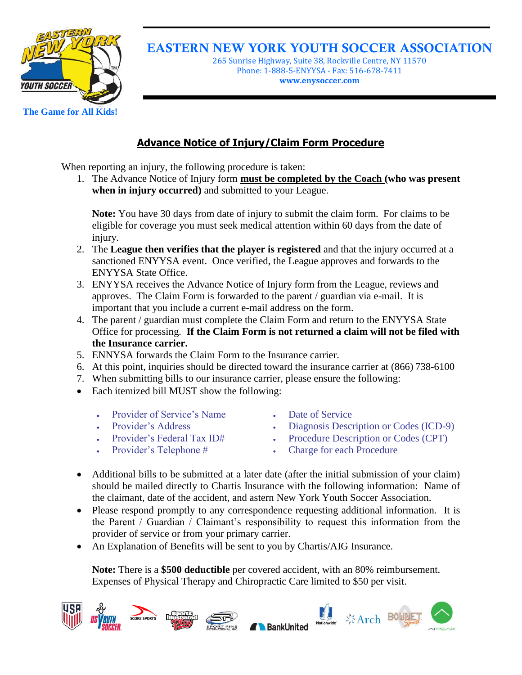

EASTERN NEW YORK YOUTH SOCCER ASSOCIATION

265 Sunrise Highway, Suite 38, Rockville Centre, NY 11570 Phone: 1-888-5-ENYYSA - Fax: 516-678-7411 **www.enysoccer.com**

## **Advance Notice of Injury/Claim Form Procedure**

When reporting an injury, the following procedure is taken:

1. The Advance Notice of Injury form **must be completed by the Coach (who was present when in injury occurred)** and submitted to your League.

**Note:** You have 30 days from date of injury to submit the claim form. For claims to be eligible for coverage you must seek medical attention within 60 days from the date of injury.

- 2. The **League then verifies that the player is registered** and that the injury occurred at a sanctioned ENYYSA event. Once verified, the League approves and forwards to the ENYYSA State Office.
- 3. ENYYSA receives the Advance Notice of Injury form from the League, reviews and approves. The Claim Form is forwarded to the parent / guardian via e-mail. It is important that you include a current e-mail address on the form.
- 4. The parent / guardian must complete the Claim Form and return to the ENYYSA State Office for processing. **If the Claim Form is not returned a claim will not be filed with the Insurance carrier.**
- 5. ENNYSA forwards the Claim Form to the Insurance carrier.
- 6. At this point, inquiries should be directed toward the insurance carrier at (866) 738-6100
- 7. When submitting bills to our insurance carrier, please ensure the following:
- Each itemized bill MUST show the following:
	- Provider of Service's Name **Date of Service**
	-
	-
	-
- 
- Provider's Address 
Biagnosis Description or Codes (ICD-9)
- Provider's Federal Tax ID# Procedure Description or Codes (CPT)
- Provider's Telephone # Charge for each Procedure
- Additional bills to be submitted at a later date (after the initial submission of your claim) should be mailed directly to Chartis Insurance with the following information: Name of the claimant, date of the accident, and astern New York Youth Soccer Association.
- Please respond promptly to any correspondence requesting additional information. It is the Parent / Guardian / Claimant's responsibility to request this information from the provider of service or from your primary carrier.
- An Explanation of Benefits will be sent to you by Chartis/AIG Insurance.

**Note:** There is a **\$500 deductible** per covered accident, with an 80% reimbursement. Expenses of Physical Therapy and Chiropractic Care limited to \$50 per visit.